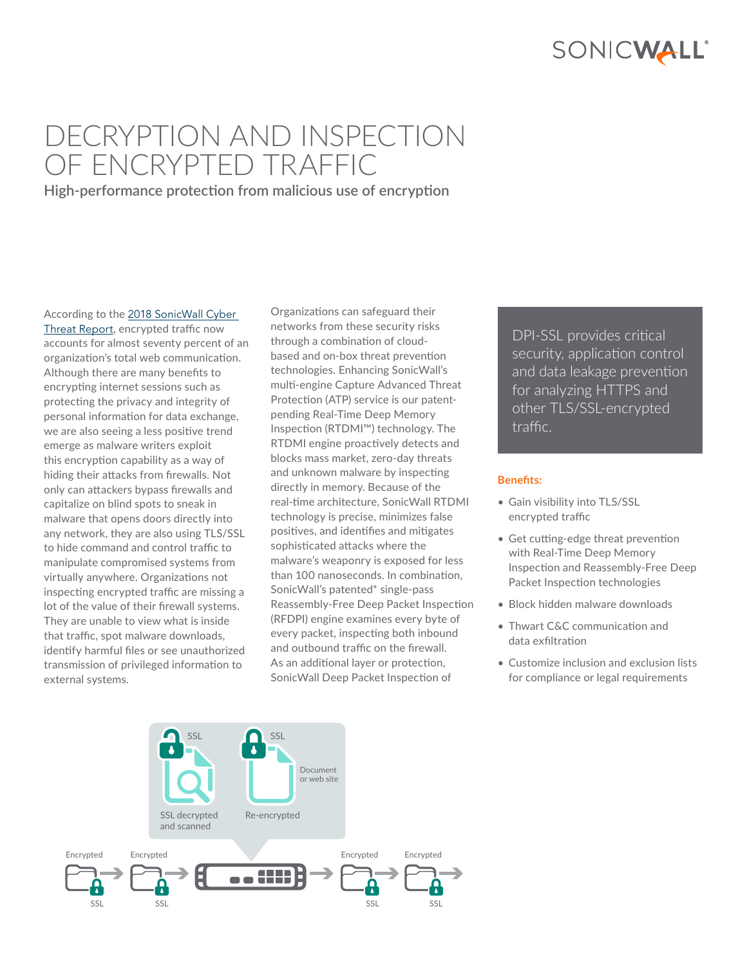

# DECRYPTION AND INSPECTION OF ENCRYPTED TRAFFIC

**High-performance protection from malicious use of encryption**

According to the [2018 SonicWall Cyber](https://www.sonicwall.com/en-us/lp/2018-cyber-threat-report)  [Threat Report](https://www.sonicwall.com/en-us/lp/2018-cyber-threat-report), encrypted traffic now accounts for almost seventy percent of an organization's total web communication. Although there are many benefits to encrypting internet sessions such as protecting the privacy and integrity of personal information for data exchange, we are also seeing a less positive trend emerge as malware writers exploit this encryption capability as a way of hiding their attacks from firewalls. Not only can attackers bypass firewalls and capitalize on blind spots to sneak in malware that opens doors directly into any network, they are also using TLS/SSL to hide command and control traffic to manipulate compromised systems from virtually anywhere. Organizations not inspecting encrypted traffic are missing a lot of the value of their firewall systems. They are unable to view what is inside that traffic, spot malware downloads, identify harmful files or see unauthorized transmission of privileged information to external systems.

Organizations can safeguard their networks from these security risks through a combination of cloudbased and on-box threat prevention technologies. Enhancing SonicWall's multi-engine Capture Advanced Threat Protection (ATP) service is our patentpending Real-Time Deep Memory Inspection (RTDMI™) technology. The RTDMI engine proactively detects and blocks mass market, zero-day threats and unknown malware by inspecting directly in memory. Because of the real-time architecture, SonicWall RTDMI technology is precise, minimizes false positives, and identifies and mitigates sophisticated attacks where the malware's weaponry is exposed for less than 100 nanoseconds. In combination, SonicWall's patented\* single-pass Reassembly-Free Deep Packet Inspection (RFDPI) engine examines every byte of every packet, inspecting both inbound and outbound traffic on the firewall. As an additional layer or protection, SonicWall Deep Packet Inspection of

DPI-SSL provides critical security, application control and data leakage prevention for analyzing HTTPS and other TLS/SSL-encrypted traffic.

#### **Benefits:**

- Gain visibility into TLS/SSL encrypted traffic
- Get cutting-edge threat prevention with Real-Time Deep Memory Inspection and Reassembly-Free Deep Packet Inspection technologies
- Block hidden malware downloads
- Thwart C&C communication and data exfiltration
- Customize inclusion and exclusion lists for compliance or legal requirements

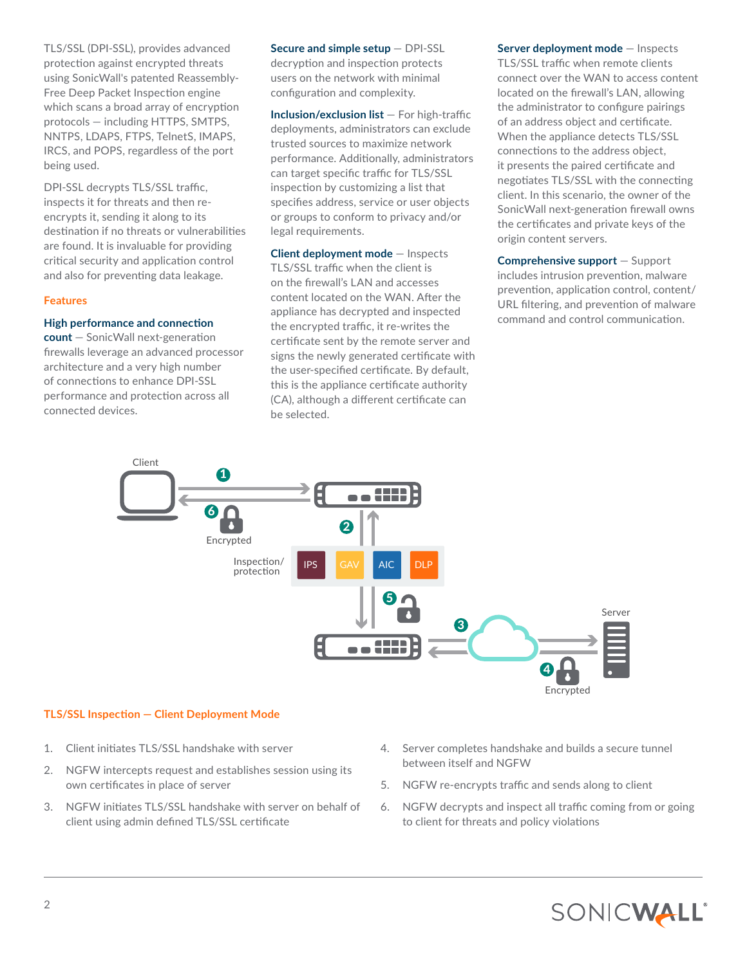TLS/SSL (DPI-SSL), provides advanced protection against encrypted threats using SonicWall's patented Reassembly-Free Deep Packet Inspection engine which scans a broad array of encryption protocols — including HTTPS, SMTPS, NNTPS, LDAPS, FTPS, TelnetS, IMAPS, IRCS, and POPS, regardless of the port being used.

DPI-SSL decrypts TLS/SSL traffic, inspects it for threats and then reencrypts it, sending it along to its destination if no threats or vulnerabilities are found. It is invaluable for providing critical security and application control and also for preventing data leakage.

#### **Features**

## **High performance and connection**

**count** — SonicWall next-generation firewalls leverage an advanced processor architecture and a very high number of connections to enhance DPI-SSL performance and protection across all connected devices.

**Secure and simple setup** — DPI-SSL decryption and inspection protects users on the network with minimal configuration and complexity.

**Inclusion/exclusion list** — For high-traffic deployments, administrators can exclude trusted sources to maximize network performance. Additionally, administrators can target specific traffic for TLS/SSL inspection by customizing a list that specifies address, service or user objects or groups to conform to privacy and/or legal requirements.

**Client deployment mode** — Inspects TLS/SSL traffic when the client is on the firewall's LAN and accesses content located on the WAN. After the appliance has decrypted and inspected the encrypted traffic, it re-writes the certificate sent by the remote server and signs the newly generated certificate with the user-specified certificate. By default, this is the appliance certificate authority (CA), although a different certificate can be selected.

**Server deployment mode** — Inspects TLS/SSL traffic when remote clients connect over the WAN to access content located on the firewall's LAN, allowing the administrator to configure pairings of an address object and certificate. When the appliance detects TLS/SSL connections to the address object, it presents the paired certificate and negotiates TLS/SSL with the connecting client. In this scenario, the owner of the SonicWall next-generation firewall owns the certificates and private keys of the origin content servers.

**Comprehensive support** — Support includes intrusion prevention, malware prevention, application control, content/ URL filtering, and prevention of malware command and control communication.



#### **TLS/SSL Inspection — Client Deployment Mode**

- 1. Client initiates TLS/SSL handshake with server
- 2. NGFW intercepts request and establishes session using its own certificates in place of server
- 3. NGFW initiates TLS/SSL handshake with server on behalf of client using admin defined TLS/SSL certificate
- 4. Server completes handshake and builds a secure tunnel between itself and NGFW
- 5. NGFW re-encrypts traffic and sends along to client
- 6. NGFW decrypts and inspect all traffic coming from or going to client for threats and policy violations